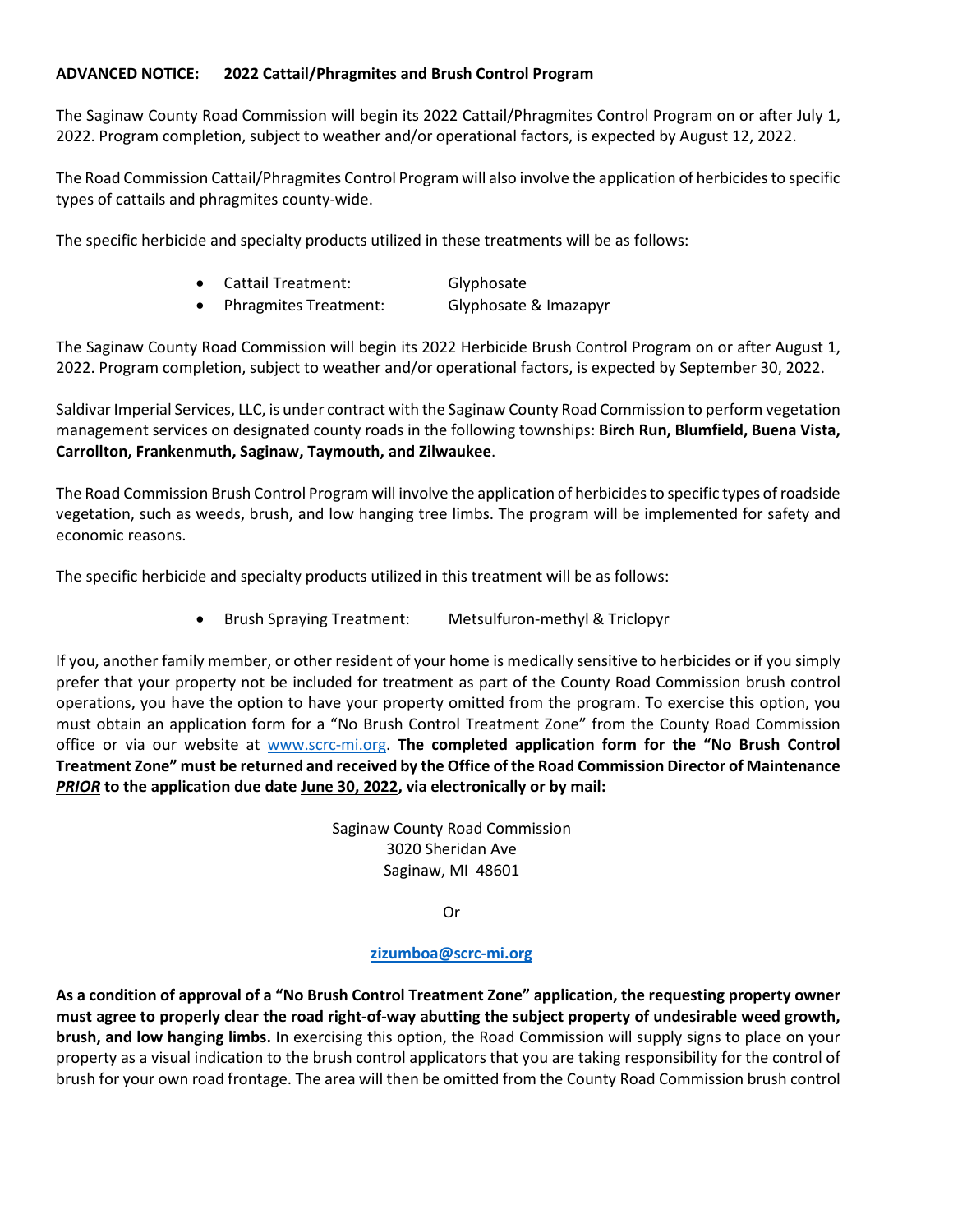## **ADVANCED NOTICE: 2022 Cattail/Phragmites and Brush Control Program**

The Saginaw County Road Commission will begin its 2022 Cattail/Phragmites Control Program on or after July 1, 2022. Program completion, subject to weather and/or operational factors, is expected by August 12, 2022.

The Road Commission Cattail/Phragmites Control Program will also involve the application of herbicides to specific types of cattails and phragmites county-wide.

The specific herbicide and specialty products utilized in these treatments will be as follows:

• Cattail Treatment: Glyphosate • Phragmites Treatment: Glyphosate & Imazapyr

The Saginaw County Road Commission will begin its 2022 Herbicide Brush Control Program on or after August 1, 2022. Program completion, subject to weather and/or operational factors, is expected by September 30, 2022.

Saldivar Imperial Services, LLC, is under contract with the Saginaw County Road Commission to perform vegetation management services on designated county roads in the following townships: **Birch Run, Blumfield, Buena Vista, Carrollton, Frankenmuth, Saginaw, Taymouth, and Zilwaukee**.

The Road Commission Brush Control Program will involve the application of herbicides to specific types of roadside vegetation, such as weeds, brush, and low hanging tree limbs. The program will be implemented for safety and economic reasons.

The specific herbicide and specialty products utilized in this treatment will be as follows:

• Brush Spraying Treatment: Metsulfuron-methyl & Triclopyr

If you, another family member, or other resident of your home is medically sensitive to herbicides or if you simply prefer that your property not be included for treatment as part of the County Road Commission brush control operations, you have the option to have your property omitted from the program. To exercise this option, you must obtain an application form for a "No Brush Control Treatment Zone" from the County Road Commission office or via our website at [www.scrc-mi.org.](http://www.scrc-mi.org/) **The completed application form for the "No Brush Control Treatment Zone" must be returned and received by the Office of the Road Commission Director of Maintenance**  *PRIOR* **to the application due date June 30, 2022, via electronically or by mail:**

> Saginaw County Road Commission 3020 Sheridan Ave Saginaw, MI 48601

> > Or

## **[zizumboa@scrc-mi.org](mailto:zizumboa@scrc-mi.org)**

**As a condition of approval of a "No Brush Control Treatment Zone" application, the requesting property owner must agree to properly clear the road right-of-way abutting the subject property of undesirable weed growth, brush, and low hanging limbs.** In exercising this option, the Road Commission will supply signs to place on your property as a visual indication to the brush control applicators that you are taking responsibility for the control of brush for your own road frontage. The area will then be omitted from the County Road Commission brush control